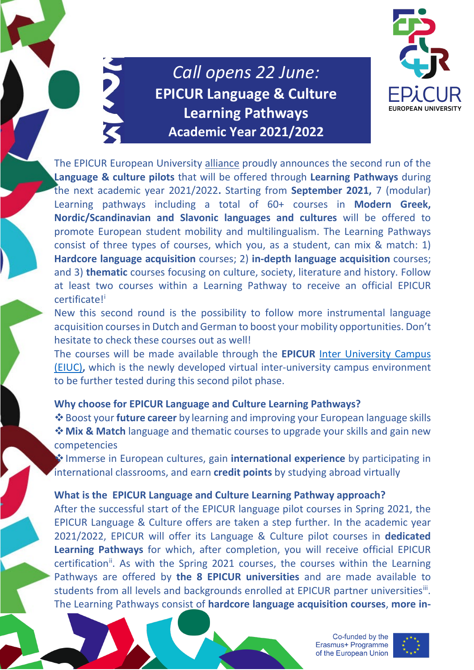# *Call opens 22 June:* **EPICUR Language & Culture Learning Pathways Academic Year 2021/2022**



The EPICUR European University [alliance](https://epicur.education/our-alliance/) proudly announces the second run of the **Language & culture pilots** that will be offered through **Learning Pathways** during the next academic year 2021/2022**.** Starting from **September 2021,** 7 (modular) Learning pathways including a total of 60+ courses in **Modern Greek, Nordic/Scandinavian and Slavonic languages and cultures** will be offered to promote European student mobility and multilingualism. The Learning Pathways consist of three types of courses, which you, as a student, can mix & match: 1) **Hardcore language acquisition** courses; 2) **in-depth language acquisition** courses; and 3) **thematic** courses focusing on culture, society, literature and history. Follow at least two courses within a Learning Pathway to receive an official EPICUR cert[i](#page-1-0)ficate!<sup>i</sup>

New this second round is the possibility to follow more instrumental language acquisition courses in Dutch and German to boost your mobility opportunities. Don't hesitate to check these courses out as well!

The courses will be made available through the **EPICUR** Inter [University Campus](https://learn.epicur.education/ilias.php?baseClass=ilrepositorygui&reloadpublic=1&cmd=frameset&ref_id=1)  [\(EIUC\)](https://learn.epicur.education/ilias.php?baseClass=ilrepositorygui&reloadpublic=1&cmd=frameset&ref_id=1)**,** which is the newly developed virtual inter-university campus environment to be further tested during this second pilot phase.

#### **Why choose for EPICUR Language and Culture Learning Pathways?**

Boost your **future career** by learning and improving your European language skills  $\diamond$  **Mix & Match** language and thematic courses to upgrade your skills and gain new competencies

Immerse in European cultures, gain **international experience** by participating in international classrooms, and earn **credit points** by studying abroad virtually

### **What is the EPICUR Language and Culture Learning Pathway approach?**

After the successful start of the EPICUR language pilot courses in Spring 2021, the EPICUR Language & Culture offers are taken a step further. In the academic year 2021/2022, EPICUR will offer its Language & Culture pilot courses in **dedicated Learning Pathways** for which, after completion, you will receive official EPICUR certification<sup>[ii](#page-1-1)</sup>. As with the Spring 2021 courses, the courses within the Learning Pathways are offered by **the 8 EPICUR universities** and are made available to students from all levels and backgrounds enrolled at EPICUR partner universities<sup>iii</sup>. The Learning Pathways consist of **hardcore language acquisition courses**, **more in-**